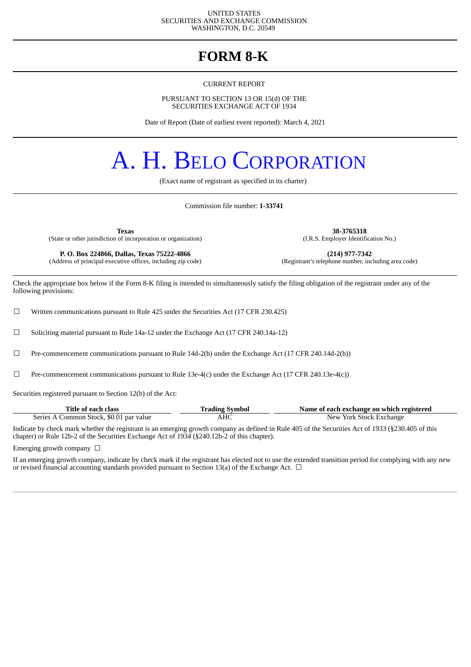#### UNITED STATES SECURITIES AND EXCHANGE COMMISSION WASHINGTON, D.C. 20549

### **FORM 8-K**

CURRENT REPORT

PURSUANT TO SECTION 13 OR 15(d) OF THE SECURITIES EXCHANGE ACT OF 1934

Date of Report (Date of earliest event reported): March 4, 2021

# A. H. BELO CORPORATION

(Exact name of registrant as specified in its charter)

Commission file number: **1-33741**

**Texas 38-3765318** (State or other jurisdiction of incorporation or organization)

(Address of principal executive offices, including zip code)

**P. O. Box 224866, Dallas, Texas 75222-4866** (214) **(214) 977-7342** (dress of principal executive offices, including zip code) (Registrant's telephone number, including area code)

Check the appropriate box below if the Form 8-K filing is intended to simultaneously satisfy the filing obligation of the registrant under any of the following provisions:

 $\Box$  Written communications pursuant to Rule 425 under the Securities Act (17 CFR 230.425)

 $\Box$  Soliciting material pursuant to Rule 14a-12 under the Exchange Act (17 CFR 240.14a-12)

☐ Pre-commencement communications pursuant to Rule 14d-2(b) under the Exchange Act (17 CFR 240.14d-2(b))

 $□$  Pre-commencement communications pursuant to Rule 13e-4(c) under the Exchange Act (17 CFR 240.13e-4(c))

Securities registered pursuant to Section 12(b) of the Act:

| Title of each class                     | <b>Trading Symbol</b> | Name of each exchange on which registered |
|-----------------------------------------|-----------------------|-------------------------------------------|
| Series A Common Stock, \$0.01 par value | AHC                   | New York Stock Exchange                   |

Indicate by check mark whether the registrant is an emerging growth company as defined in Rule 405 of the Securities Act of 1933 (§230.405 of this chapter) or Rule 12b-2 of the Securities Exchange Act of 1934 (§240.12b-2 of this chapter).

Emerging growth company  $\Box$ 

If an emerging growth company, indicate by check mark if the registrant has elected not to use the extended transition period for complying with any new or revised financial accounting standards provided pursuant to Section 13(a) of the Exchange Act.  $\Box$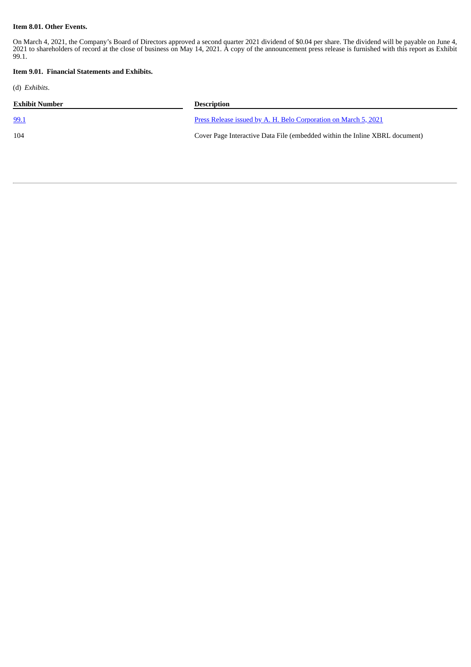#### **Item 8.01. Other Events.**

On March 4, 2021, the Company's Board of Directors approved a second quarter 2021 dividend of \$0.04 per share. The dividend will be payable on June 4, 2021 to shareholders of record at the close of business on May 14, 2021. A copy of the announcement press release is furnished with this report as Exhibit 99.1.

#### **Item 9.01. Financial Statements and Exhibits.**

(d) *Exhibits*.

| Exhibit Number | <b>Description</b>                                                          |
|----------------|-----------------------------------------------------------------------------|
| <u>99.1</u>    | Press Release issued by A. H. Belo Corporation on March 5, 2021             |
| 104            | Cover Page Interactive Data File (embedded within the Inline XBRL document) |
|                |                                                                             |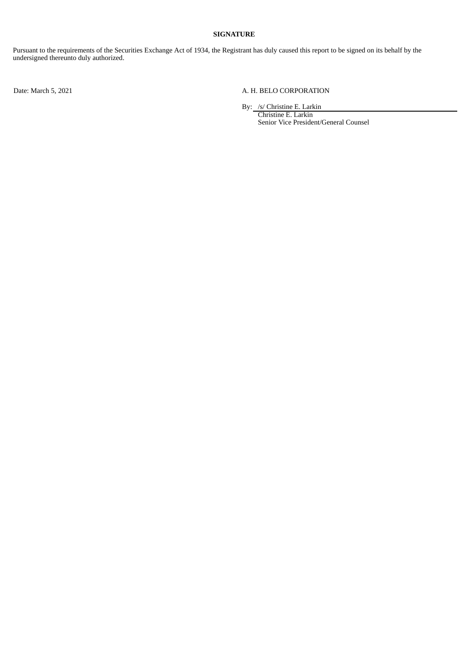#### **SIGNATURE**

Pursuant to the requirements of the Securities Exchange Act of 1934, the Registrant has duly caused this report to be signed on its behalf by the undersigned thereunto duly authorized.

#### Date: March 5, 2021 <br>
A. H. BELO CORPORATION

By: /s/ Christine E. Larkin

Christine E. Larkin Senior Vice President/General Counsel